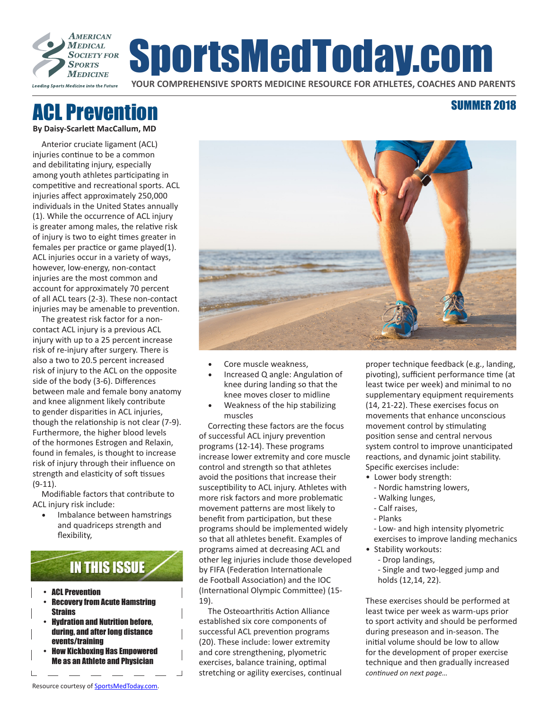

# SportsMedToday.com

**YOUR COMPREHENSIVE SPORTS MEDICINE RESOURCE FOR ATHLETES, COACHES AND PARENTS**

# ACL Prevention

**By Daisy-Scarlett MacCallum, MD**

Anterior cruciate ligament (ACL) injuries continue to be a common and debilitating injury, especially among youth athletes participating in competitive and recreational sports. ACL injuries affect approximately 250,000 individuals in the United States annually (1). While the occurrence of ACL injury is greater among males, the relative risk of injury is two to eight times greater in females per practice or game played(1). ACL injuries occur in a variety of ways, however, low-energy, non-contact injuries are the most common and account for approximately 70 percent of all ACL tears (2-3). These non-contact injuries may be amenable to prevention.

The greatest risk factor for a noncontact ACL injury is a previous ACL injury with up to a 25 percent increase risk of re-injury after surgery. There is also a two to 20.5 percent increased risk of injury to the ACL on the opposite side of the body (3-6). Differences between male and female bony anatomy and knee alignment likely contribute to gender disparities in ACL injuries, though the relationship is not clear (7-9). Furthermore, the higher blood levels of the hormones Estrogen and Relaxin, found in females, is thought to increase risk of injury through their influence on strength and elasticity of soft tissues (9-11).

Modifiable factors that contribute to ACL injury risk include:

• Imbalance between hamstrings and quadriceps strength and flexibility,



- ACL Prevention
- Recovery from Acute Hamstring **Strains**
- Hydration and Nutrition before, during, and after long distance events/training
- How Kickboxing Has Empowered Me as an Athlete and Physician

 $\blacksquare$ 



- Core muscle weakness,
- Increased Q angle: Angulation of knee during landing so that the knee moves closer to midline
- Weakness of the hip stabilizing muscles

Correcting these factors are the focus of successful ACL injury prevention programs (12-14). These programs increase lower extremity and core muscle control and strength so that athletes avoid the positions that increase their susceptibility to ACL injury. Athletes with more risk factors and more problematic movement patterns are most likely to benefit from participation, but these programs should be implemented widely so that all athletes benefit. Examples of programs aimed at decreasing ACL and other leg injuries include those developed by FIFA (Federation Internationale de Football Association) and the IOC (International Olympic Committee) (15- 19).

The Osteoarthritis Action Alliance established six core components of successful ACL prevention programs (20). These include: lower extremity and core strengthening, plyometric exercises, balance training, optimal stretching or agility exercises, continual proper technique feedback (e.g., landing, pivoting), sufficient performance time (at least twice per week) and minimal to no supplementary equipment requirements (14, 21-22). These exercises focus on movements that enhance unconscious movement control by stimulating position sense and central nervous system control to improve unanticipated reactions, and dynamic joint stability. Specific exercises include:

SUMMER 2018

- Lower body strength:
	- Nordic hamstring lowers,
- Walking lunges,
- Calf raises,
- Planks

- Low- and high intensity plyometric exercises to improve landing mechanics

- Stability workouts:
	- Drop landings,

- Single and two-legged jump and holds (12,14, 22).

These exercises should be performed at least twice per week as warm-ups prior to sport activity and should be performed during preseason and in-season. The initial volume should be low to allow for the development of proper exercise technique and then gradually increased *continued on next page…*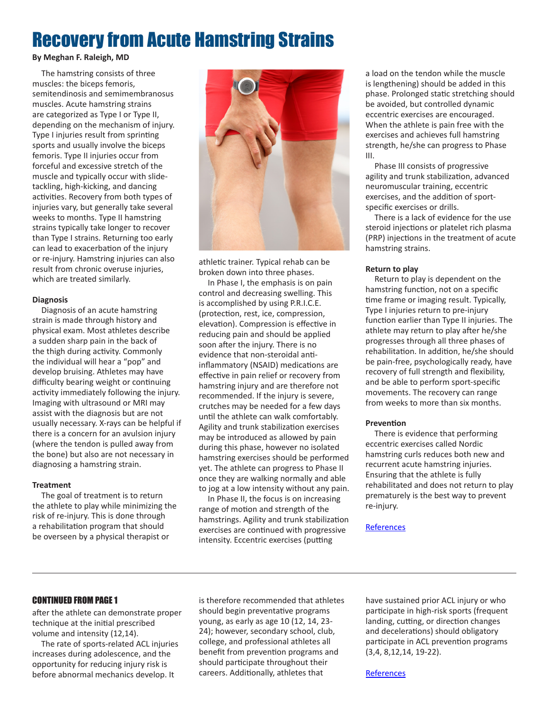## Recovery from Acute Hamstring Strains

#### **By Meghan F. Raleigh, MD**

The hamstring consists of three muscles: the biceps femoris, semitendinosis and semimembranosus muscles. Acute hamstring strains are categorized as Type I or Type II, depending on the mechanism of injury. Type I injuries result from sprinting sports and usually involve the biceps femoris. Type II injuries occur from forceful and excessive stretch of the muscle and typically occur with slidetackling, high-kicking, and dancing activities. Recovery from both types of injuries vary, but generally take several weeks to months. Type II hamstring strains typically take longer to recover than Type I strains. Returning too early can lead to exacerbation of the injury or re-injury. Hamstring injuries can also result from chronic overuse injuries, which are treated similarly.

#### **Diagnosis**

Diagnosis of an acute hamstring strain is made through history and physical exam. Most athletes describe a sudden sharp pain in the back of the thigh during activity. Commonly the individual will hear a "pop" and develop bruising. Athletes may have difficulty bearing weight or continuing activity immediately following the injury. Imaging with ultrasound or MRI may assist with the diagnosis but are not usually necessary. X-rays can be helpful if there is a concern for an avulsion injury (where the tendon is pulled away from the bone) but also are not necessary in diagnosing a hamstring strain.

#### **Treatment**

The goal of treatment is to return the athlete to play while minimizing the risk of re-injury. This is done through a rehabilitation program that should be overseen by a physical therapist or



athletic trainer. Typical rehab can be broken down into three phases.

In Phase I, the emphasis is on pain control and decreasing swelling. This is accomplished by using P.R.I.C.E. (protection, rest, ice, compression, elevation). Compression is effective in reducing pain and should be applied soon after the injury. There is no evidence that non-steroidal antiinflammatory (NSAID) medications are effective in pain relief or recovery from hamstring injury and are therefore not recommended. If the injury is severe, crutches may be needed for a few days until the athlete can walk comfortably. Agility and trunk stabilization exercises may be introduced as allowed by pain during this phase, however no isolated hamstring exercises should be performed yet. The athlete can progress to Phase II once they are walking normally and able to jog at a low intensity without any pain.

In Phase II, the focus is on increasing range of motion and strength of the hamstrings. Agility and trunk stabilization exercises are continued with progressive intensity. Eccentric exercises (putting

a load on the tendon while the muscle is lengthening) should be added in this phase. Prolonged static stretching should be avoided, but controlled dynamic eccentric exercises are encouraged. When the athlete is pain free with the exercises and achieves full hamstring strength, he/she can progress to Phase III.

Phase III consists of progressive agility and trunk stabilization, advanced neuromuscular training, eccentric exercises, and the addition of sportspecific exercises or drills.

There is a lack of evidence for the use steroid injections or platelet rich plasma (PRP) injections in the treatment of acute hamstring strains.

#### **Return to play**

Return to play is dependent on the hamstring function, not on a specific time frame or imaging result. Typically, Type I injuries return to pre-injury function earlier than Type II injuries. The athlete may return to play after he/she progresses through all three phases of rehabilitation. In addition, he/she should be pain-free, psychologically ready, have recovery of full strength and flexibility, and be able to perform sport-specific movements. The recovery can range from weeks to more than six months.

#### **Prevention**

There is evidence that performing eccentric exercises called Nordic hamstring curls reduces both new and recurrent acute hamstring injuries. Ensuring that the athlete is fully rehabilitated and does not return to play prematurely is the best way to prevent re-injury.

#### **[References](https://www.amssm.org/Content/hidden/SMT_REFERENCES_2018.pdf)**

#### CONTINUED FROM PAGE 1

after the athlete can demonstrate proper technique at the initial prescribed volume and intensity (12,14).

The rate of sports-related ACL injuries increases during adolescence, and the opportunity for reducing injury risk is before abnormal mechanics develop. It

is therefore recommended that athletes should begin preventative programs young, as early as age 10 (12, 14, 23- 24); however, secondary school, club, college, and professional athletes all benefit from prevention programs and should participate throughout their careers. Additionally, athletes that

have sustained prior ACL injury or who participate in high-risk sports (frequent landing, cutting, or direction changes and decelerations) should obligatory participate in ACL prevention programs (3,4, 8,12,14, 19-22).

**[References](https://www.amssm.org/Content/hidden/SMT_REFERENCES_2018.pdf)**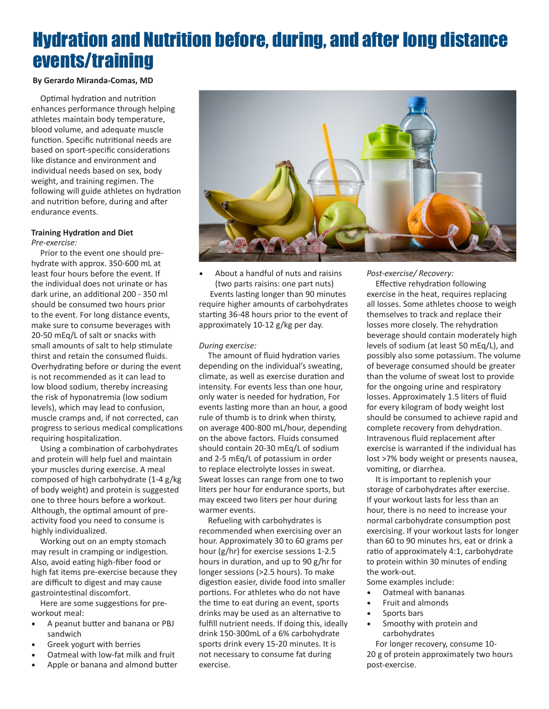## Hydration and Nutrition before, during, and after long distance events/training

#### **By Gerardo Miranda-Comas, MD**

Optimal hydration and nutrition enhances performance through helping athletes maintain body temperature, blood volume, and adequate muscle function. Specific nutritional needs are based on sport-specific considerations like distance and environment and individual needs based on sex, body weight, and training regimen. The following will guide athletes on hydration and nutrition before, during and after endurance events.

#### **Training Hydration and Diet** *Pre-exercise:*

Prior to the event one should prehydrate with approx. 350-600 mL at least four hours before the event. If the individual does not urinate or has dark urine, an additional 200 - 350 ml should be consumed two hours prior to the event. For long distance events, make sure to consume beverages with 20-50 mEq/L of salt or snacks with small amounts of salt to help stimulate thirst and retain the consumed fluids. Overhydrating before or during the event is not recommended as it can lead to low blood sodium, thereby increasing the risk of hyponatremia (low sodium levels), which may lead to confusion, muscle cramps and, if not corrected, can progress to serious medical complications requiring hospitalization.

Using a combination of carbohydrates and protein will help fuel and maintain your muscles during exercise. A meal composed of high carbohydrate (1-4 g/kg of body weight) and protein is suggested one to three hours before a workout. Although, the optimal amount of preactivity food you need to consume is highly individualized.

Working out on an empty stomach may result in cramping or indigestion. Also, avoid eating high-fiber food or high fat items pre-exercise because they are difficult to digest and may cause gastrointestinal discomfort.

Here are some suggestions for preworkout meal:

- A peanut butter and banana or PBJ sandwich
- Greek yogurt with berries
- Oatmeal with low-fat milk and fruit
- Apple or banana and almond butter



• About a handful of nuts and raisins (two parts raisins: one part nuts) Events lasting longer than 90 minutes require higher amounts of carbohydrates starting 36-48 hours prior to the event of approximately 10-12 g/kg per day.

#### *During exercise:*

The amount of fluid hydration varies depending on the individual's sweating, climate, as well as exercise duration and intensity. For events less than one hour, only water is needed for hydration, For events lasting more than an hour, a good rule of thumb is to drink when thirsty, on average 400-800 mL/hour, depending on the above factors. Fluids consumed should contain 20-30 mEq/L of sodium and 2-5 mEq/L of potassium in order to replace electrolyte losses in sweat. Sweat losses can range from one to two liters per hour for endurance sports, but may exceed two liters per hour during warmer events.

Refueling with carbohydrates is recommended when exercising over an hour. Approximately 30 to 60 grams per hour (g/hr) for exercise sessions 1-2.5 hours in duration, and up to 90 g/hr for longer sessions (>2.5 hours). To make digestion easier, divide food into smaller portions. For athletes who do not have the time to eat during an event, sports drinks may be used as an alternative to fulfill nutrient needs. If doing this, ideally drink 150-300mL of a 6% carbohydrate sports drink every 15-20 minutes. It is not necessary to consume fat during exercise.

*Post-exercise/ Recovery:*

Effective rehydration following exercise in the heat, requires replacing all losses. Some athletes choose to weigh themselves to track and replace their losses more closely. The rehydration beverage should contain moderately high levels of sodium (at least 50 mEq/L), and possibly also some potassium. The volume of beverage consumed should be greater than the volume of sweat lost to provide for the ongoing urine and respiratory losses. Approximately 1.5 liters of fluid for every kilogram of body weight lost should be consumed to achieve rapid and complete recovery from dehydration. Intravenous fluid replacement after exercise is warranted if the individual has lost >7% body weight or presents nausea, vomiting, or diarrhea.

It is important to replenish your storage of carbohydrates after exercise. If your workout lasts for less than an hour, there is no need to increase your normal carbohydrate consumption post exercising. If your workout lasts for longer than 60 to 90 minutes hrs, eat or drink a ratio of approximately 4:1, carbohydrate to protein within 30 minutes of ending the work-out.

Some examples include:

- Oatmeal with bananas
- Fruit and almonds
- Sports bars
- Smoothy with protein and carbohydrates

For longer recovery, consume 10- 20 g of protein approximately two hours post-exercise.